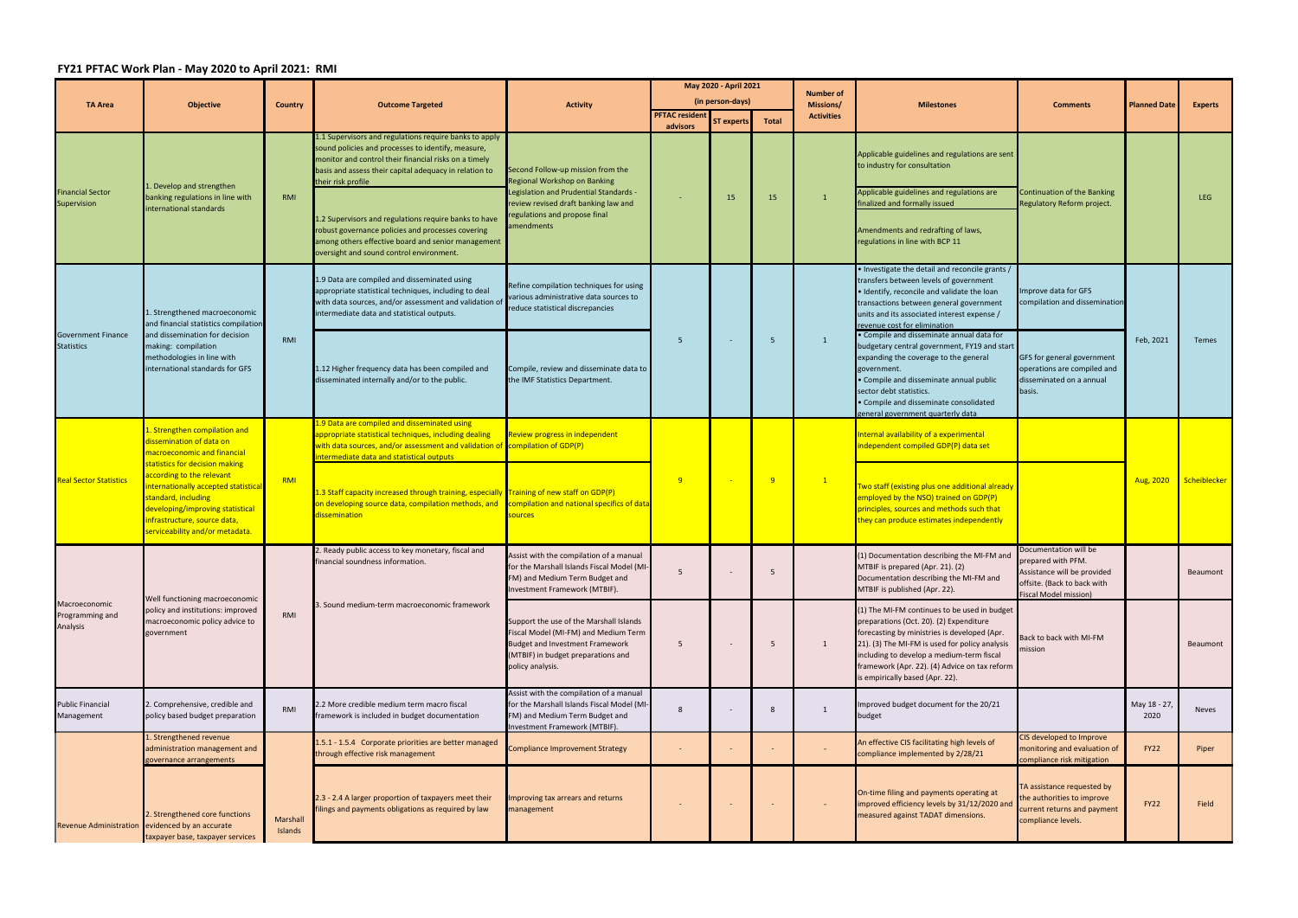## **FY21 PFTAC Work Plan ‐ May 2020 to April 2021: RMI**

|                                                | <b>Objective</b>                                                                                                                                                                                                                                                                                                          | <b>Country</b>      | <b>Outcome Targeted</b>                                                                                                                                                                                                                                                                                                                                                                                                   | <b>Activity</b>                                                                                                                                                                                   | May 2020 - April 2021                     |                         |                | <b>Number of</b>               |                                                                                                                                                                                                                                                                                                                           |                                                                                                                                    |                     |                 |
|------------------------------------------------|---------------------------------------------------------------------------------------------------------------------------------------------------------------------------------------------------------------------------------------------------------------------------------------------------------------------------|---------------------|---------------------------------------------------------------------------------------------------------------------------------------------------------------------------------------------------------------------------------------------------------------------------------------------------------------------------------------------------------------------------------------------------------------------------|---------------------------------------------------------------------------------------------------------------------------------------------------------------------------------------------------|-------------------------------------------|-------------------------|----------------|--------------------------------|---------------------------------------------------------------------------------------------------------------------------------------------------------------------------------------------------------------------------------------------------------------------------------------------------------------------------|------------------------------------------------------------------------------------------------------------------------------------|---------------------|-----------------|
| <b>TA Area</b>                                 |                                                                                                                                                                                                                                                                                                                           |                     |                                                                                                                                                                                                                                                                                                                                                                                                                           |                                                                                                                                                                                                   | (in person-days)<br><b>PFTAC resident</b> |                         | Total          | Missions/<br><b>Activities</b> | <b>Milestones</b>                                                                                                                                                                                                                                                                                                         | <b>Comments</b>                                                                                                                    | <b>Planned Date</b> | <b>Experts</b>  |
| <b>Financial Sector</b><br>Supervision         | . Develop and strengthen<br>banking regulations in line with<br>international standards                                                                                                                                                                                                                                   | RMI                 | 1.1 Supervisors and regulations require banks to apply<br>sound policies and processes to identify, measure,<br>monitor and control their financial risks on a timely<br>basis and assess their capital adequacy in relation to<br>their risk profile<br>1.2 Supervisors and regulations require banks to have<br>robust governance policies and processes covering<br>among others effective board and senior management | Second Follow-up mission from the<br>Regional Workshop on Banking<br>-egislation and Prudential Standards.<br>review revised draft banking law and<br>regulations and propose final<br>amendments | advisors                                  | <b>ST experts</b><br>15 | 15             | $\mathbf{1}$                   | Applicable guidelines and regulations are sent<br>to industry for consultation<br>Applicable guidelines and regulations are<br>finalized and formally issued<br>Amendments and redrafting of laws,<br>regulations in line with BCP 11                                                                                     | <b>Continuation of the Banking</b><br>Regulatory Reform project.                                                                   |                     | <b>LEG</b>      |
| <b>Government Finance</b><br><b>Statistics</b> | Strengthened macroeconomic<br>and financial statistics compilation<br>and dissemination for decision<br>making: compilation<br>methodologies in line with<br>international standards for GFS                                                                                                                              | RMI                 | oversight and sound control environment.<br>1.9 Data are compiled and disseminated using<br>appropriate statistical techniques, including to deal<br>with data sources, and/or assessment and validation of<br>intermediate data and statistical outputs.                                                                                                                                                                 | Refine compilation techniques for using<br>various administrative data sources to<br>reduce statistical discrepancies                                                                             | -5                                        |                         |                |                                | • Investigate the detail and reconcile grants /<br>transfers between levels of government<br>. Identify, reconcile and validate the loan<br>transactions between general government<br>units and its associated interest expense /<br>revenue cost for elimination                                                        | Improve data for GFS<br>compilation and dissemination                                                                              | Feb, 2021           | Temes           |
|                                                |                                                                                                                                                                                                                                                                                                                           |                     | 1.12 Higher frequency data has been compiled and<br>disseminated internally and/or to the public.                                                                                                                                                                                                                                                                                                                         | Compile, review and disseminate data to<br>the IMF Statistics Department.                                                                                                                         |                                           |                         | -5             | $\mathbf{1}$                   | • Compile and disseminate annual data for<br>budgetary central government, FY19 and start<br>expanding the coverage to the general<br>government.<br>• Compile and disseminate annual public<br>sector debt statistics.<br>• Compile and disseminate consolidated<br>general government quarterly data                    | GFS for general government<br>operations are compiled and<br>disseminated on a annual<br>basis.                                    |                     |                 |
|                                                | Strengthen compilation and<br>dissemination of data on<br>macroeconomic and financial<br>statistics for decision making<br>according to the relevant<br>internationally accepted statistica<br>standard, including<br>developing/improving statistical<br>infrastructure, source data,<br>serviceability and/or metadata. | RMI                 | 1.9 Data are compiled and disseminated using<br>appropriate statistical techniques, including dealing<br>with data sources, and/or assessment and validation of compilation of GDP(P)<br>ntermediate data and statistical outputs                                                                                                                                                                                         | <b>Review progress in independent</b>                                                                                                                                                             | 9                                         |                         |                | $\mathbf{1}$                   | Internal availability of a experimental<br>independent compiled GDP(P) data set                                                                                                                                                                                                                                           |                                                                                                                                    | Aug, 2020           |                 |
| <b>Real Sector Statistics</b>                  |                                                                                                                                                                                                                                                                                                                           |                     | 1.3 Staff capacity increased through training, especially<br>on developing source data, compilation methods, and<br>dissemination                                                                                                                                                                                                                                                                                         | Training of new staff on GDP(P)<br>compilation and national specifics of data<br>sources                                                                                                          |                                           |                         | $\overline{9}$ |                                | Two staff (existing plus one additional already<br>employed by the NSO) trained on GDP(P)<br>principles, sources and methods such that<br>they can produce estimates independently                                                                                                                                        |                                                                                                                                    |                     | Scheiblecker    |
| Macroeconomic<br>Programming and<br>Analysis   | Well functioning macroeconomic<br>policy and institutions: improved<br>macroeconomic policy advice to<br>government                                                                                                                                                                                                       | RMI                 | 2. Ready public access to key monetary, fiscal and<br>financial soundness information.<br>3. Sound medium-term macroeconomic framework                                                                                                                                                                                                                                                                                    | Assist with the compilation of a manual<br>for the Marshall Islands Fiscal Model (MI-<br>FM) and Medium Term Budget and<br>Investment Framework (MTBIF).                                          |                                           |                         |                |                                | (1) Documentation describing the MI-FM and<br>MTBIF is prepared (Apr. 21). (2)<br>Documentation describing the MI-FM and<br>MTBIF is published (Apr. 22).                                                                                                                                                                 | Documentation will be<br>prepared with PFM.<br>Assistance will be provided<br>offsite. (Back to back with<br>Fiscal Model mission) |                     | <b>Beaumont</b> |
|                                                |                                                                                                                                                                                                                                                                                                                           |                     |                                                                                                                                                                                                                                                                                                                                                                                                                           | Support the use of the Marshall Islands<br>Fiscal Model (MI-FM) and Medium Term<br><b>Budget and Investment Framework</b><br>(MTBIF) in budget preparations and<br>policy analysis.               | 5                                         |                         | 5              |                                | (1) The MI-FM continues to be used in budget<br>preparations (Oct. 20). (2) Expenditure<br>forecasting by ministries is developed (Apr<br>21). (3) The MI-FM is used for policy analysis<br>including to develop a medium-term fiscal<br>framework (Apr. 22). (4) Advice on tax reform<br>is empirically based (Apr. 22). | ack to back with MI-FM<br>mission                                                                                                  |                     | Beaumont        |
| <b>Public Financial</b><br>Management          | . Comprehensive, credible and<br>policy based budget preparation                                                                                                                                                                                                                                                          | RMI                 | 2.2 More credible medium term macro fiscal<br>framework is included in budget documentation                                                                                                                                                                                                                                                                                                                               | Assist with the compilation of a manual<br>for the Marshall Islands Fiscal Model (MI-<br>FM) and Medium Term Budget and<br>Investment Framework (MTBIF).                                          | 8                                         |                         | 8              |                                | Improved budget document for the 20/21<br>budget                                                                                                                                                                                                                                                                          |                                                                                                                                    | May 18 - 27<br>2020 | Neves           |
|                                                | . Strengthened revenue<br>administration management and<br>governance arrangements                                                                                                                                                                                                                                        |                     | 1.5.1 - 1.5.4 Corporate priorities are better managed<br>through effective risk management                                                                                                                                                                                                                                                                                                                                | <b>Compliance Improvement Strategy</b>                                                                                                                                                            |                                           |                         |                |                                | An effective CIS facilitating high levels of<br>compliance implemented by 2/28/21                                                                                                                                                                                                                                         | CIS developed to Improve<br>monitoring and evaluation of<br>compliance risk mitigation                                             | FY22                | Piper           |
|                                                | 2. Strengthened core functions<br>Revenue Administration evidenced by an accurate<br>taxpayer base, taxpayer services                                                                                                                                                                                                     | Marshall<br>Islands | 2.3 - 2.4 A larger proportion of taxpayers meet their<br>ilings and payments obligations as required by law                                                                                                                                                                                                                                                                                                               | mproving tax arrears and returns<br>nanagement                                                                                                                                                    |                                           |                         |                |                                | On-time filing and payments operating at<br>improved efficiency levels by 31/12/2020 and<br>measured against TADAT dimensions.                                                                                                                                                                                            | TA assistance requested by<br>the authorities to improve<br>current returns and payment<br>compliance levels.                      | <b>FY22</b>         | Field           |